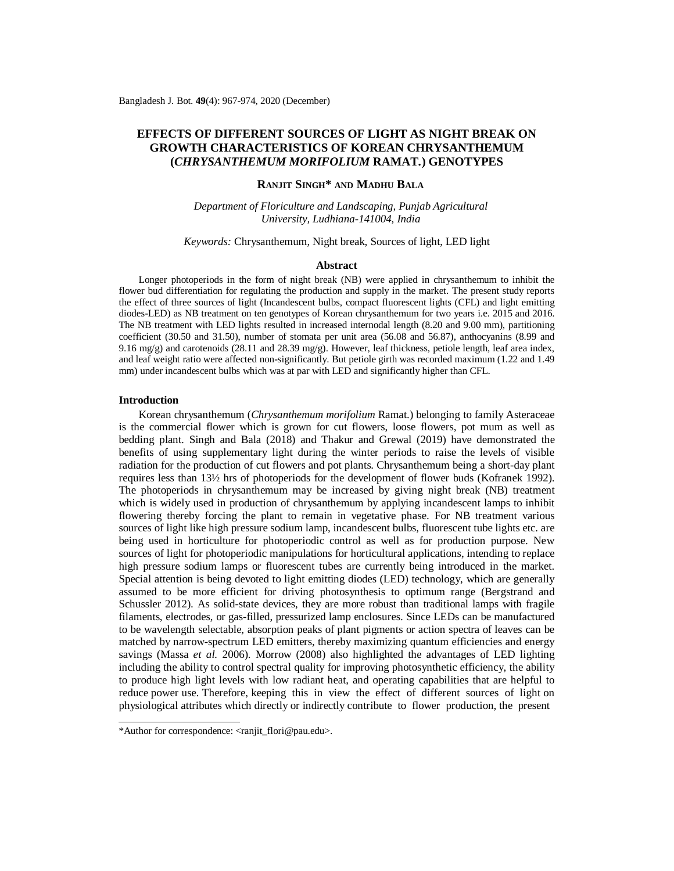# **EFFECTS OF DIFFERENT SOURCES OF LIGHT AS NIGHT BREAK ON GROWTH CHARACTERISTICS OF KOREAN CHRYSANTHEMUM (***CHRYSANTHEMUM MORIFOLIUM* **RAMAT***.***) GENOTYPES**

# **RANJIT SINGH\* AND MADHU BALA**

*Department of Floriculture and Landscaping, Punjab Agricultural University, Ludhiana-141004, India*

## *Keywords:* Chrysanthemum, Night break, Sources of light, LED light

#### **Abstract**

Longer photoperiods in the form of night break (NB) were applied in chrysanthemum to inhibit the flower bud differentiation for regulating the production and supply in the market. The present study reports the effect of three sources of light (Incandescent bulbs, compact fluorescent lights (CFL) and light emitting diodes-LED) as NB treatment on ten genotypes of Korean chrysanthemum for two years i.e. 2015 and 2016. The NB treatment with LED lights resulted in increased internodal length (8.20 and 9.00 mm), partitioning coefficient (30.50 and 31.50), number of stomata per unit area (56.08 and 56.87), anthocyanins (8.99 and 9.16 mg/g) and carotenoids (28.11 and 28.39 mg/g). However, leaf thickness, petiole length, leaf area index, and leaf weight ratio were affected non-significantly. But petiole girth was recorded maximum (1.22 and 1.49 mm) under incandescent bulbs which was at par with LED and significantly higher than CFL.

#### **Introduction**

Korean chrysanthemum (*Chrysanthemum morifolium* Ramat.) belonging to family Asteraceae is the commercial flower which is grown for cut flowers, loose flowers, pot mum as well as bedding plant. Singh and Bala (2018) and Thakur and Grewal (2019) have demonstrated the benefits of using supplementary light during the winter periods to raise the levels of visible radiation for the production of cut flowers and pot plants. Chrysanthemum being a short-day plant requires less than 13½ hrs of photoperiods for the development of flower buds (Kofranek 1992). The photoperiods in chrysanthemum may be increased by giving night break (NB) treatment which is widely used in production of chrysanthemum by applying incandescent lamps to inhibit flowering thereby forcing the plant to remain in vegetative phase. For NB treatment various sources of light like high pressure sodium lamp, incandescent bulbs, fluorescent tube lights etc. are being used in horticulture for photoperiodic control as well as for production purpose. New sources of light for photoperiodic manipulations for horticultural applications, intending to replace high pressure sodium lamps or fluorescent tubes are currently being introduced in the market. Special attention is being devoted to light emitting diodes (LED) technology, which are generally assumed to be more efficient for driving photosynthesis to optimum range (Bergstrand and Schussler 2012). As solid-state devices, they are more robust than traditional lamps with fragile filaments, electrodes, or gas-filled, pressurized lamp enclosures. Since LEDs can be manufactured to be wavelength selectable, absorption peaks of plant pigments or action spectra of leaves can be matched by narrow-spectrum LED emitters, thereby maximizing quantum efficiencies and energy savings (Massa *et al.* 2006). Morrow (2008) also highlighted the advantages of LED lighting including the ability to control spectral quality for improving photosynthetic efficiency, the ability to produce high light levels with low radiant heat, and operating capabilities that are helpful to reduce power use. Therefore, keeping this in view the effect of different sources of light on physiological attributes which directly or indirectly contribute to flower production, the present

<sup>\*</sup>Author for correspondence: [<ranjit\\_flori@pau.edu>](mailto:ranjit_flori@pau.edu).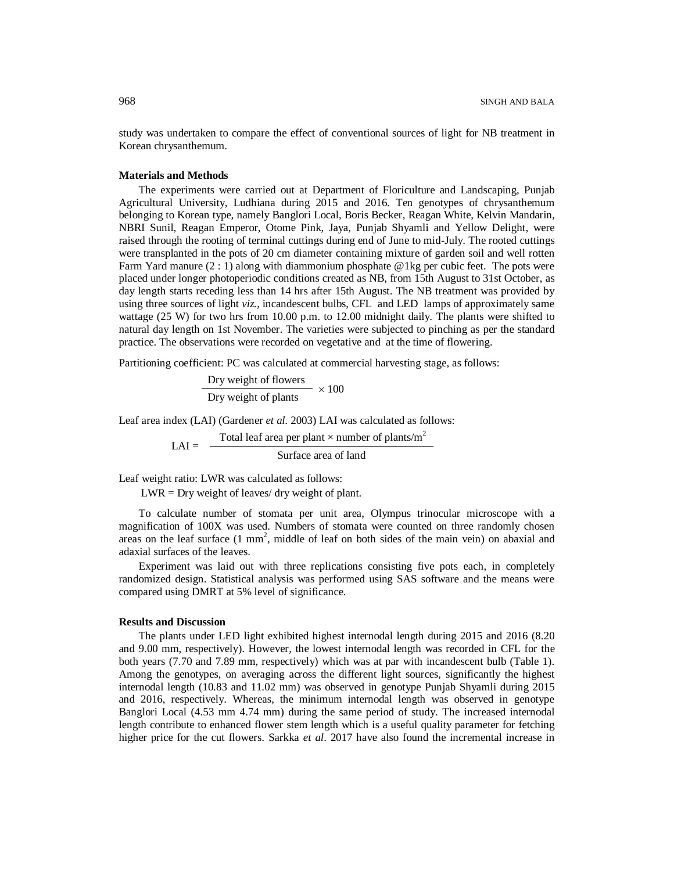study was undertaken to compare the effect of conventional sources of light for NB treatment in Korean chrysanthemum.

## **Materials and Methods**

The experiments were carried out at Department of Floriculture and Landscaping, Punjab Agricultural University, Ludhiana during 2015 and 2016. Ten genotypes of chrysanthemum belonging to Korean type, namely Banglori Local, Boris Becker, Reagan White, Kelvin Mandarin, NBRI Sunil, Reagan Emperor, Otome Pink, Jaya, Punjab Shyamli and Yellow Delight, were raised through the rooting of terminal cuttings during end of June to mid-July. The rooted cuttings were transplanted in the pots of 20 cm diameter containing mixture of garden soil and well rotten Farm Yard manure (2 : 1) along with diammonium phosphate @1kg per cubic feet. The pots were placed under longer photoperiodic conditions created as NB, from 15th August to 31st October, as day length starts receding less than 14 hrs after 15th August. The NB treatment was provided by using three sources of light *viz.,* incandescent bulbs, CFL and LED lamps of approximately same wattage (25 W) for two hrs from 10.00 p.m. to 12.00 midnight daily. The plants were shifted to natural day length on 1st November. The varieties were subjected to pinching as per the standard practice. The observations were recorded on vegetative and at the time of flowering.

Partitioning coefficient: PC was calculated at commercial harvesting stage, as follows:

$$
\frac{\text{Dry weight of flowers}}{\text{Dry weight of plants}} \times 100
$$

Leaf area index (LAI) (Gardener *et al.* 2003) LAI was calculated as follows:

 $LAI = -$ Total leaf area per plant  $\times$  number of plants/m<sup>2</sup> Surface area of land

Leaf weight ratio: LWR was calculated as follows:

LWR = Dry weight of leaves/ dry weight of plant.

To calculate number of stomata per unit area, Olympus trinocular microscope with a magnification of 100X was used. Numbers of stomata were counted on three randomly chosen areas on the leaf surface  $(1 \text{ mm}^2)$ , middle of leaf on both sides of the main vein) on abaxial and adaxial surfaces of the leaves.

Experiment was laid out with three replications consisting five pots each, in completely randomized design. Statistical analysis was performed using SAS software and the means were compared using DMRT at 5% level of significance.

#### **Results and Discussion**

The plants under LED light exhibited highest internodal length during 2015 and 2016 (8.20 and 9.00 mm, respectively). However, the lowest internodal length was recorded in CFL for the both years (7.70 and 7.89 mm, respectively) which was at par with incandescent bulb (Table 1). Among the genotypes, on averaging across the different light sources, significantly the highest internodal length (10.83 and 11.02 mm) was observed in genotype Punjab Shyamli during 2015 and 2016, respectively. Whereas, the minimum internodal length was observed in genotype Banglori Local (4.53 mm 4.74 mm) during the same period of study. The increased internodal length contribute to enhanced flower stem length which is a useful quality parameter for fetching higher price for the cut flowers. Sarkka *et al*. 2017 have also found the incremental increase in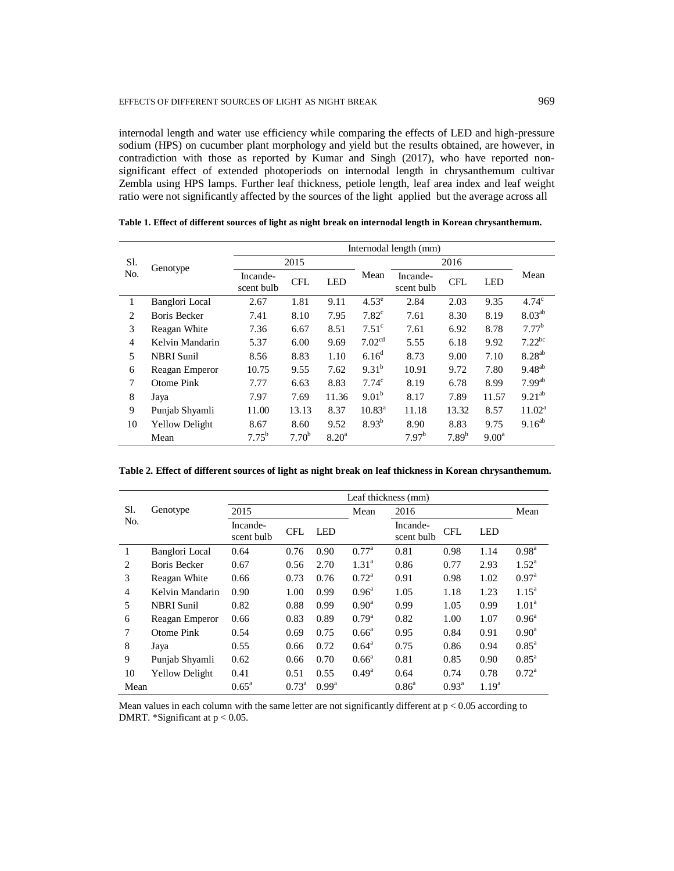internodal length and water use efficiency while comparing the effects of LED and high-pressure sodium (HPS) on cucumber plant morphology and yield but the results obtained, are however, in contradiction with those as reported by Kumar and Singh (2017), who have reported nonsignificant effect of extended photoperiods on internodal length in chrysanthemum cultivar Zembla using HPS lamps. Further leaf thickness, petiole length, leaf area index and leaf weight ratio were not significantly affected by the sources of the light applied but the average across all

|                | Genotype              |                        |                   |                |                    | Internodal length (mm) |                   |                |                      |
|----------------|-----------------------|------------------------|-------------------|----------------|--------------------|------------------------|-------------------|----------------|----------------------|
| Sl.            |                       |                        | 2015              |                |                    |                        | 2016              |                |                      |
| N <sub>o</sub> |                       | Incande-<br>scent bulb | <b>CFL</b>        | <b>LED</b>     | Mean               | Incande-<br>scent bulb | <b>CFL</b>        | <b>LED</b>     | Mean                 |
| 1              | Banglori Local        | 2.67                   | 1.81              | 9.11           | $4.53^e$           | 2.84                   | 2.03              | 9.35           | 4.74 <sup>c</sup>    |
| $\overline{c}$ | <b>Boris Becker</b>   | 7.41                   | 8.10              | 7.95           | $7.82^{\circ}$     | 7.61                   | 8.30              | 8.19           | $8.03^{ab}$          |
| 3              | Reagan White          | 7.36                   | 6.67              | 8.51           | $7.51^{\circ}$     | 7.61                   | 6.92              | 8.78           | 7.77 <sup>b</sup>    |
| $\overline{4}$ | Kelvin Mandarin       | 5.37                   | 6.00              | 9.69           | 7.02 <sup>cd</sup> | 5.55                   | 6.18              | 9.92           | $7.22^{bc}$          |
| 5              | <b>NBRI</b> Sunil     | 8.56                   | 8.83              | 1.10           | $6.16^{\rm d}$     | 8.73                   | 9.00              | 7.10           | $8.28^{ab}$          |
| 6              | Reagan Emperor        | 10.75                  | 9.55              | 7.62           | $9.31^{b}$         | 10.91                  | 9.72              | 7.80           | $9.48^{ab}$          |
| 7              | Otome Pink            | 7.77                   | 6.63              | 8.83           | 7.74 <sup>c</sup>  | 8.19                   | 6.78              | 8.99           | $7.99$ <sup>ab</sup> |
| 8              | Jaya                  | 7.97                   | 7.69              | 11.36          | 9.01 <sup>b</sup>  | 8.17                   | 7.89              | 11.57          | $9.21^{ab}$          |
| 9              | Punjab Shyamli        | 11.00                  | 13.13             | 8.37           | $10.83^{\circ}$    | 11.18                  | 13.32             | 8.57           | 11.02 <sup>a</sup>   |
| 10             | <b>Yellow Delight</b> | 8.67                   | 8.60              | 9.52           | $8.93^{b}$         | 8.90                   | 8.83              | 9.75           | $9.16^{ab}$          |
|                | Mean                  | $7.75^{b}$             | 7.70 <sup>b</sup> | $8.20^{\rm a}$ |                    | 7.97 <sup>b</sup>      | 7.89 <sup>b</sup> | $9.00^{\rm a}$ |                      |

**Table 1. Effect of different sources of light as night break on internodal length in Korean chrysanthemum.**

**Table 2. Effect of different sources of light as night break on leaf thickness in Korean chrysanthemum.**

|                |                       |                        | Leaf thickness (mm) |                |                |                        |                   |                   |                   |  |  |
|----------------|-----------------------|------------------------|---------------------|----------------|----------------|------------------------|-------------------|-------------------|-------------------|--|--|
| Sl.            | Genotype              | 2015                   |                     |                | Mean           | 2016                   |                   |                   | Mean              |  |  |
| N <sub>o</sub> |                       | Incande-<br>scent bulb | <b>CFL</b>          | <b>LED</b>     |                | Incande-<br>scent bulb | <b>CFL</b>        | <b>LED</b>        |                   |  |  |
| 1              | Banglori Local        | 0.64                   | 0.76                | 0.90           | $0.77^{\rm a}$ | 0.81                   | 0.98              | 1.14              | $0.98^{\rm a}$    |  |  |
| $\overline{c}$ | Boris Becker          | 0.67                   | 0.56                | 2.70           | $1.31^{a}$     | 0.86                   | 0.77              | 2.93              | $1.52^{\rm a}$    |  |  |
| 3              | Reagan White          | 0.66                   | 0.73                | 0.76           | $0.72^{\rm a}$ | 0.91                   | 0.98              | 1.02              | $0.97^{\rm a}$    |  |  |
| 4              | Kelvin Mandarin       | 0.90                   | 1.00                | 0.99           | $0.96^{\rm a}$ | 1.05                   | 1.18              | 1.23              | $1.15^{\text{a}}$ |  |  |
| 5              | <b>NBRI</b> Sunil     | 0.82                   | 0.88                | 0.99           | $0.90^{\rm a}$ | 0.99                   | 1.05              | 0.99              | 1.01 <sup>a</sup> |  |  |
| 6              | Reagan Emperor        | 0.66                   | 0.83                | 0.89           | $0.79^{\rm a}$ | 0.82                   | 1.00              | 1.07              | $0.96^{\rm a}$    |  |  |
| 7              | Otome Pink            | 0.54                   | 0.69                | 0.75           | $0.66^{\circ}$ | 0.95                   | 0.84              | 0.91              | $0.90^{\rm a}$    |  |  |
| 8              | Jaya                  | 0.55                   | 0.66                | 0.72           | $0.64^{\rm a}$ | 0.75                   | 0.86              | 0.94              | $0.85^{\rm a}$    |  |  |
| 9              | Punjab Shyamli        | 0.62                   | 0.66                | 0.70           | $0.66^{\circ}$ | 0.81                   | 0.85              | 0.90              | $0.85^{\rm a}$    |  |  |
| 10             | <b>Yellow Delight</b> | 0.41                   | 0.51                | 0.55           | $0.49^{\rm a}$ | 0.64                   | 0.74              | 0.78              | $0.72^{\rm a}$    |  |  |
| Mean           |                       | $0.65^{\rm a}$         | $0.73^{\rm a}$      | $0.99^{\rm a}$ |                | $0.86^{\circ}$         | $0.93^{\text{a}}$ | 1.19 <sup>a</sup> |                   |  |  |

Mean values in each column with the same letter are not significantly different at  $p < 0.05$  according to DMRT. \*Significant at p < 0.05.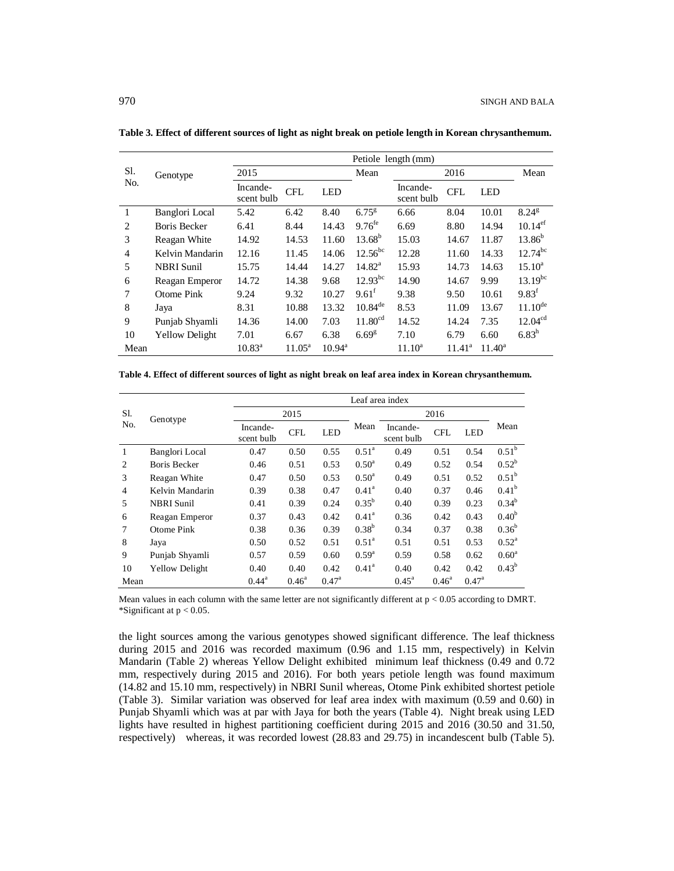|                | Genotype              |                        |                    |                 | Petiole length (mm) |                        |                 |                 |                     |  |  |  |  |
|----------------|-----------------------|------------------------|--------------------|-----------------|---------------------|------------------------|-----------------|-----------------|---------------------|--|--|--|--|
| Sl.            |                       | 2015                   |                    |                 | Mean                | 2016                   |                 |                 | Mean                |  |  |  |  |
| No.            |                       | Incande-<br>scent bulb | <b>CFL</b>         | <b>LED</b>      |                     | Incande-<br>scent bulb | <b>CFL</b>      | <b>LED</b>      |                     |  |  |  |  |
| 1              | Banglori Local        | 5.42                   | 6.42               | 8.40            | $6.75^{8}$          | 6.66                   | 8.04            | 10.01           | $8.24^{\rm g}$      |  |  |  |  |
| $\overline{c}$ | Boris Becker          | 6.41                   | 8.44               | 14.43           | 9.76 <sup>fe</sup>  | 6.69                   | 8.80            | 14.94           | 10.14 <sup>ef</sup> |  |  |  |  |
| 3              | Reagan White          | 14.92                  | 14.53              | 11.60           | $13.68^{b}$         | 15.03                  | 14.67           | 11.87           | $13.86^{b}$         |  |  |  |  |
| 4              | Kelvin Mandarin       | 12.16                  | 11.45              | 14.06           | $12.56^{bc}$        | 12.28                  | 11.60           | 14.33           | $12.74^{bc}$        |  |  |  |  |
| 5              | <b>NBRI</b> Sunil     | 15.75                  | 14.44              | 14.27           | $14.82^{\rm a}$     | 15.93                  | 14.73           | 14.63           | $15.10^a$           |  |  |  |  |
| 6              | Reagan Emperor        | 14.72                  | 14.38              | 9.68            | $12.93^{bc}$        | 14.90                  | 14.67           | 9.99            | $13.19^{bc}$        |  |  |  |  |
| 7              | Otome Pink            | 9.24                   | 9.32               | 10.27           | $9.61^{\text{t}}$   | 9.38                   | 9.50            | 10.61           | $9.83^{f}$          |  |  |  |  |
| 8              | Jaya                  | 8.31                   | 10.88              | 13.32           | $10.84^{de}$        | 8.53                   | 11.09           | 13.67           | $11.10^{de}$        |  |  |  |  |
| 9              | Punjab Shyamli        | 14.36                  | 14.00              | 7.03            | 11.80 <sup>cd</sup> | 14.52                  | 14.24           | 7.35            | 12.04 <sup>cd</sup> |  |  |  |  |
| 10             | <b>Yellow Delight</b> | 7.01                   | 6.67               | 6.38            | 6.69 <sup>g</sup>   | 7.10                   | 6.79            | 6.60            | $6.83^h$            |  |  |  |  |
| Mean           |                       | $10.83^{\text{a}}$     | $11.05^{\text{a}}$ | $10.94^{\rm a}$ |                     | $11.10^a$              | $11.41^{\circ}$ | $11.40^{\circ}$ |                     |  |  |  |  |

**Table 3. Effect of different sources of light as night break on petiole length in Korean chrysanthemum.**

**Table 4. Effect of different sources of light as night break on leaf area index in Korean chrysanthemum.**

|                |                       |                        |                |                | Leaf area index   |                        |                |                |                   |
|----------------|-----------------------|------------------------|----------------|----------------|-------------------|------------------------|----------------|----------------|-------------------|
| Sl.            | Genotype              |                        | 2015           |                |                   |                        | 2016           |                |                   |
| No.            |                       | Incande-<br>scent bulb | <b>CFL</b>     | <b>LED</b>     | Mean              | Incande-<br>scent bulb | <b>CFL</b>     | <b>LED</b>     | Mean              |
| 1              | Banglori Local        | 0.47                   | 0.50           | 0.55           | $0.51^{\circ}$    | 0.49                   | 0.51           | 0.54           | 0.51 <sup>b</sup> |
| 2              | <b>Boris Becker</b>   | 0.46                   | 0.51           | 0.53           | $0.50^{\text{a}}$ | 0.49                   | 0.52           | 0.54           | $0.52^{\rm b}$    |
| 3              | Reagan White          | 0.47                   | 0.50           | 0.53           | $0.50^{\circ}$    | 0.49                   | 0.51           | 0.52           | $0.51^{\rm b}$    |
| $\overline{4}$ | Kelvin Mandarin       | 0.39                   | 0.38           | 0.47           | $0.41^{\rm a}$    | 0.40                   | 0.37           | 0.46           | $0.41^{b}$        |
| 5              | <b>NBRI</b> Sunil     | 0.41                   | 0.39           | 0.24           | $0.35^{b}$        | 0.40                   | 0.39           | 0.23           | $0.34^{b}$        |
| 6              | Reagan Emperor        | 0.37                   | 0.43           | 0.42           | $0.41^{\rm a}$    | 0.36                   | 0.42           | 0.43           | 0.40 <sup>b</sup> |
| 7              | Otome Pink            | 0.38                   | 0.36           | 0.39           | $0.38^{b}$        | 0.34                   | 0.37           | 0.38           | $0.36^{b}$        |
| 8              | Jaya                  | 0.50                   | 0.52           | 0.51           | $0.51^{\circ}$    | 0.51                   | 0.51           | 0.53           | $0.52^{\rm a}$    |
| 9              | Punjab Shyamli        | 0.57                   | 0.59           | 0.60           | $0.59^{a}$        | 0.59                   | 0.58           | 0.62           | $0.60^{\circ}$    |
| 10             | <b>Yellow Delight</b> | 0.40                   | 0.40           | 0.42           | $0.41^{\rm a}$    | 0.40                   | 0.42           | 0.42           | $0.43^{b}$        |
| Mean           |                       | $0.44^{\text{a}}$      | $0.46^{\rm a}$ | $0.47^{\rm a}$ |                   | $0.45^{\text{a}}$      | $0.46^{\circ}$ | $0.47^{\rm a}$ |                   |

Mean values in each column with the same letter are not significantly different at  $p < 0.05$  according to DMRT. \*Significant at p < 0.05.

the light sources among the various genotypes showed significant difference. The leaf thickness during 2015 and 2016 was recorded maximum (0.96 and 1.15 mm, respectively) in Kelvin Mandarin (Table 2) whereas Yellow Delight exhibited minimum leaf thickness (0.49 and 0.72 mm, respectively during 2015 and 2016). For both years petiole length was found maximum (14.82 and 15.10 mm, respectively) in NBRI Sunil whereas, Otome Pink exhibited shortest petiole (Table 3). Similar variation was observed for leaf area index with maximum (0.59 and 0.60) in Punjab Shyamli which was at par with Jaya for both the years (Table 4). Night break using LED lights have resulted in highest partitioning coefficient during 2015 and 2016 (30.50 and 31.50, respectively) whereas, it was recorded lowest (28.83 and 29.75) in incandescent bulb (Table 5).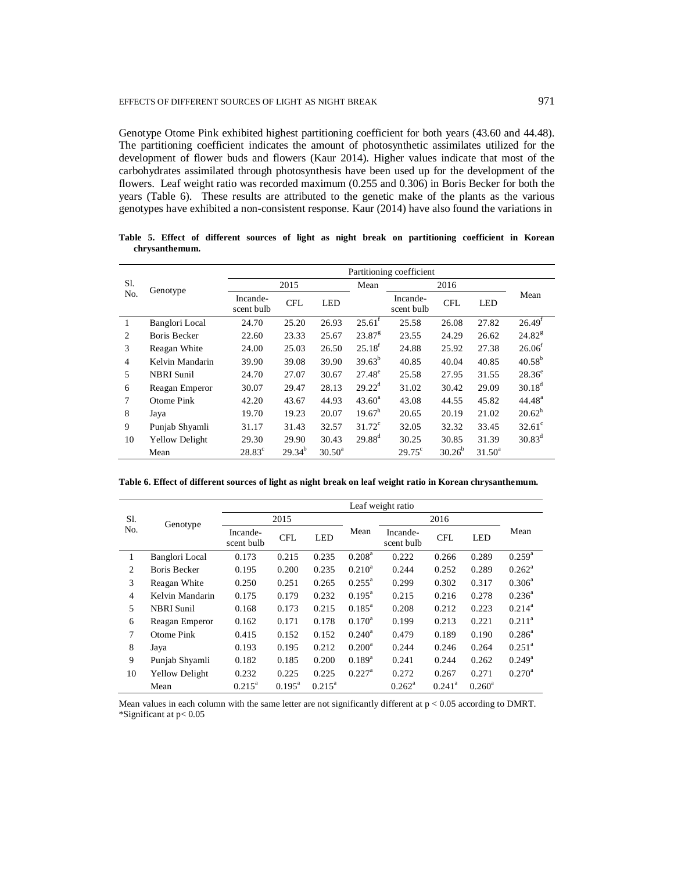#### EFFECTS OF DIFFERENT SOURCES OF LIGHT AS NIGHT BREAK 971

Genotype Otome Pink exhibited highest partitioning coefficient for both years (43.60 and 44.48). The partitioning coefficient indicates the amount of photosynthetic assimilates utilized for the development of flower buds and flowers (Kaur 2014). Higher values indicate that most of the carbohydrates assimilated through photosynthesis have been used up for the development of the flowers. Leaf weight ratio was recorded maximum (0.255 and 0.306) in Boris Becker for both the years (Table 6). These results are attributed to the genetic make of the plants as the various genotypes have exhibited a non-consistent response. Kaur (2014) have also found the variations in

|                |                       | Partitioning coefficient |             |            |                    |                        |             |            |                    |  |  |
|----------------|-----------------------|--------------------------|-------------|------------|--------------------|------------------------|-------------|------------|--------------------|--|--|
| Sl.            | Genotype              |                          | 2015        |            |                    | 2016                   |             |            |                    |  |  |
| No.            |                       | Incande-<br>scent bulb   | <b>CFL</b>  | <b>LED</b> |                    | Incande-<br>scent bulb | <b>CFL</b>  | <b>LED</b> | Mean               |  |  |
| 1              | Banglori Local        | 24.70                    | 25.20       | 26.93      | $25.61^t$          | 25.58                  | 26.08       | 27.82      | 26.49 <sup>f</sup> |  |  |
| 2              | <b>Boris Becker</b>   | 22.60                    | 23.33       | 25.67      | $23.87^8$          | 23.55                  | 24.29       | 26.62      | $24.82^{8}$        |  |  |
| 3              | Reagan White          | 24.00                    | 25.03       | 26.50      | $25.18^{f}$        | 24.88                  | 25.92       | 27.38      | 26.06 <sup>f</sup> |  |  |
| $\overline{4}$ | Kelvin Mandarin       | 39.90                    | 39.08       | 39.90      | $39.63^{b}$        | 40.85                  | 40.04       | 40.85      | $40.58^{b}$        |  |  |
| 5              | <b>NBRI</b> Sunil     | 24.70                    | 27.07       | 30.67      | $27.48^{\circ}$    | 25.58                  | 27.95       | 31.55      | $28.36^{\circ}$    |  |  |
| 6              | Reagan Emperor        | 30.07                    | 29.47       | 28.13      | $29.22^{\text{d}}$ | 31.02                  | 30.42       | 29.09      | $30.18^{d}$        |  |  |
| 7              | Otome Pink            | 42.20                    | 43.67       | 44.93      | $43.60^{\rm a}$    | 43.08                  | 44.55       | 45.82      | 44.48 <sup>a</sup> |  |  |
| 8              | Jaya                  | 19.70                    | 19.23       | 20.07      | $19.67^h$          | 20.65                  | 20.19       | 21.02      | $20.62^h$          |  |  |
| 9              | Punjab Shyamli        | 31.17                    | 31.43       | 32.57      | $31.72^{\circ}$    | 32.05                  | 32.32       | 33.45      | $32.61^{\circ}$    |  |  |
| 10             | <b>Yellow Delight</b> | 29.30                    | 29.90       | 30.43      | $29.88^{d}$        | 30.25                  | 30.85       | 31.39      | $30.83^d$          |  |  |
|                | Mean                  | $28.83^{\circ}$          | $29.34^{b}$ | $30.50^a$  |                    | $29.75^{\circ}$        | $30.26^{b}$ | $31.50^a$  |                    |  |  |

**Table 5. Effect of different sources of light as night break on partitioning coefficient in Korean chrysanthemum.**

**Table 6. Effect of different sources of light as night break on leaf weight ratio in Korean chrysanthemum.**

|                |                       |                        |                    |            |                    | Leaf weight ratio      |            |            |                    |
|----------------|-----------------------|------------------------|--------------------|------------|--------------------|------------------------|------------|------------|--------------------|
| Sl.<br>No.     | Genotype              |                        | 2015               |            |                    |                        | 2016       |            |                    |
|                |                       | Incande-<br>scent bulb | <b>CFL</b>         | <b>LED</b> | Mean               | Incande-<br>scent bulb | <b>CFL</b> | <b>LED</b> | Mean               |
| 1              | Banglori Local        | 0.173                  | 0.215              | 0.235      | $0.208^{\rm a}$    | 0.222                  | 0.266      | 0.289      | $0.259^{a}$        |
| $\mathfrak{D}$ | <b>Boris Becker</b>   | 0.195                  | 0.200              | 0.235      | $0.210^a$          | 0.244                  | 0.252      | 0.289      | $0.262^{\rm a}$    |
| 3              | Reagan White          | 0.250                  | 0.251              | 0.265      | $0.255^{\text{a}}$ | 0.299                  | 0.302      | 0.317      | $0.306^a$          |
| 4              | Kelvin Mandarin       | 0.175                  | 0.179              | 0.232      | $0.195^{\text{a}}$ | 0.215                  | 0.216      | 0.278      | $0.236^a$          |
| 5              | <b>NBRI</b> Sunil     | 0.168                  | 0.173              | 0.215      | $0.185^{\text{a}}$ | 0.208                  | 0.212      | 0.223      | $0.214^a$          |
| 6              | Reagan Emperor        | 0.162                  | 0.171              | 0.178      | $0.170^a$          | 0.199                  | 0.213      | 0.221      | $0.211^a$          |
| 7              | Otome Pink            | 0.415                  | 0.152              | 0.152      | $0.240^a$          | 0.479                  | 0.189      | 0.190      | $0.286^a$          |
| 8              | Jaya                  | 0.193                  | 0.195              | 0.212      | $0.200^a$          | 0.244                  | 0.246      | 0.264      | $0.251^{\text{a}}$ |
| 9              | Punjab Shyamli        | 0.182                  | 0.185              | 0.200      | $0.189^{a}$        | 0.241                  | 0.244      | 0.262      | $0.249^{\rm a}$    |
| 10             | <b>Yellow Delight</b> | 0.232                  | 0.225              | 0.225      | $0.227^{\rm a}$    | 0.272                  | 0.267      | 0.271      | $0.270^a$          |
|                | Mean                  | $0.215^a$              | $0.195^{\text{a}}$ | $0.215^a$  |                    | $0.262^a$              | $0.241^a$  | $0.260^a$  |                    |

Mean values in each column with the same letter are not significantly different at  $p < 0.05$  according to DMRT. \*Significant at p< 0.05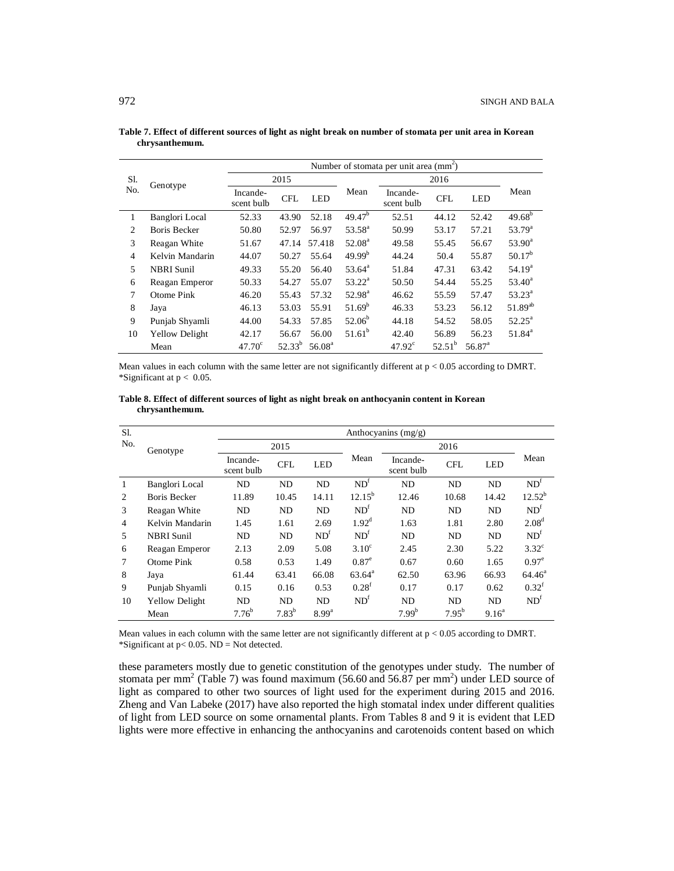|                | Genotype              |                        | Number of stomata per unit area (mm <sup>2</sup> ) |                    |                    |                        |            |                 |                    |  |  |  |
|----------------|-----------------------|------------------------|----------------------------------------------------|--------------------|--------------------|------------------------|------------|-----------------|--------------------|--|--|--|
| Sl.            |                       |                        | 2015                                               |                    |                    |                        | 2016       |                 |                    |  |  |  |
| N <sub>o</sub> |                       | Incande-<br>scent bulb | <b>CFL</b>                                         | <b>LED</b>         | Mean               | Incande-<br>scent bulb | <b>CFL</b> | <b>LED</b>      | Mean               |  |  |  |
| 1              | Banglori Local        | 52.33                  | 43.90                                              | 52.18              | 49.47 <sup>b</sup> | 52.51                  | 44.12      | 52.42           | $49.68^{b}$        |  |  |  |
| 2              | Boris Becker          | 50.80                  | 52.97                                              | 56.97              | $53.58^{a}$        | 50.99                  | 53.17      | 57.21           | $53.79^{\rm a}$    |  |  |  |
| 3              | Reagan White          | 51.67                  | 47.14                                              | 57.418             | $52.08^{\rm a}$    | 49.58                  | 55.45      | 56.67           | $53.90^{\circ}$    |  |  |  |
| $\overline{4}$ | Kelvin Mandarin       | 44.07                  | 50.27                                              | 55.64              | $49.99^{b}$        | 44.24                  | 50.4       | 55.87           | $50.17^{b}$        |  |  |  |
| 5              | <b>NBRI</b> Sunil     | 49.33                  | 55.20                                              | 56.40              | $53.64^{\circ}$    | 51.84                  | 47.31      | 63.42           | 54.19 <sup>a</sup> |  |  |  |
| 6              | Reagan Emperor        | 50.33                  | 54.27                                              | 55.07              | $53.22^{\rm a}$    | 50.50                  | 54.44      | 55.25           | $53.40^a$          |  |  |  |
| 7              | Otome Pink            | 46.20                  | 55.43                                              | 57.32              | $52.98^{\rm a}$    | 46.62                  | 55.59      | 57.47           | $53.23^{\circ}$    |  |  |  |
| 8              | Jaya                  | 46.13                  | 53.03                                              | 55.91              | $51.69^{b}$        | 46.33                  | 53.23      | 56.12           | $51.89^{ab}$       |  |  |  |
| 9              | Punjab Shyamli        | 44.00                  | 54.33                                              | 57.85              | $52.06^b$          | 44.18                  | 54.52      | 58.05           | $52.25^{\text{a}}$ |  |  |  |
| 10             | <b>Yellow Delight</b> | 42.17                  | 56.67                                              | 56.00              | $51.61^b$          | 42.40                  | 56.89      | 56.23           | $51.84^{\circ}$    |  |  |  |
|                | Mean                  | 47.70 <sup>c</sup>     | $52.33^{b}$                                        | 56.08 <sup>a</sup> |                    | $47.92^{\circ}$        | $52.51^b$  | $56.87^{\circ}$ |                    |  |  |  |

**Table 7. Effect of different sources of light as night break on number of stomata per unit area in Korean chrysanthemum.**

Mean values in each column with the same letter are not significantly different at  $p < 0.05$  according to DMRT. \*Significant at  $p < 0.05$ .

**Table 8. Effect of different sources of light as night break on anthocyanin content in Korean chrysanthemum.**

| Sl.            |                       |                        |            |                 |                   | Anthocyanins $(mg/g)$  |            |            |                   |
|----------------|-----------------------|------------------------|------------|-----------------|-------------------|------------------------|------------|------------|-------------------|
| N <sub>o</sub> | Genotype              |                        | 2015       |                 |                   |                        | 2016       |            |                   |
|                |                       | Incande-<br>scent bulb | <b>CFL</b> | <b>LED</b>      | Mean              | Incande-<br>scent bulb | <b>CFL</b> | <b>LED</b> | Mean              |
| $\mathbf{1}$   | Banglori Local        | ND                     | ND         | N <sub>D</sub>  | ND <sup>f</sup>   | <b>ND</b>              | ND         | <b>ND</b>  | ND <sup>f</sup>   |
| 2              | <b>Boris Becker</b>   | 11.89                  | 10.45      | 14.11           | $12.15^{b}$       | 12.46                  | 10.68      | 14.42      | $12.52^{b}$       |
| 3              | Reagan White          | ND                     | ND         | N <sub>D</sub>  | ND <sup>f</sup>   | <b>ND</b>              | ND         | ND         | ND <sup>t</sup>   |
| 4              | Kelvin Mandarin       | 1.45                   | 1.61       | 2.69            | $1.92^d$          | 1.63                   | 1.81       | 2.80       | 2.08 <sup>d</sup> |
| 5              | <b>NBRI</b> Sunil     | ND                     | ND         | ND <sup>1</sup> | ND <sup>f</sup>   | ND.                    | ND         | ND         | ND <sup>t</sup>   |
| 6              | Reagan Emperor        | 2.13                   | 2.09       | 5.08            | $3.10^{\circ}$    | 2.45                   | 2.30       | 5.22       | $3.32^{\circ}$    |
| $\tau$         | Otome Pink            | 0.58                   | 0.53       | 1.49            | $0.87^\mathrm{e}$ | 0.67                   | 0.60       | 1.65       | $0.97^\text{e}$   |
| 8              | Jaya                  | 61.44                  | 63.41      | 66.08           | $63.64^{\circ}$   | 62.50                  | 63.96      | 66.93      | $64.46^{\circ}$   |
| 9              | Punjab Shyamli        | 0.15                   | 0.16       | 0.53            | $0.28^t$          | 0.17                   | 0.17       | 0.62       | $0.32^t$          |
| 10             | <b>Yellow Delight</b> | ND.                    | ND.        | ND.             | ND <sup>f</sup>   | ND.                    | ND.        | ND.        | ND <sup>t</sup>   |
|                | Mean                  | $7.76^{b}$             | $7.83^{b}$ | $8.99^{a}$      |                   | $7.99^{b}$             | $7.95^{b}$ | $9.16^a$   |                   |

Mean values in each column with the same letter are not significantly different at  $p < 0.05$  according to DMRT. \*Significant at  $p < 0.05$ . ND = Not detected.

these parameters mostly due to genetic constitution of the genotypes under study. The number of stomata per mm<sup>2</sup> (Table 7) was found maximum (56.60 and 56.87 per mm<sup>2</sup>) under LED source of light as compared to other two sources of light used for the experiment during 2015 and 2016. Zheng and Van Labeke (2017) have also reported the high stomatal index under different qualities of light from LED source on some ornamental plants. From Tables 8 and 9 it is evident that LED lights were more effective in enhancing the anthocyanins and carotenoids content based on which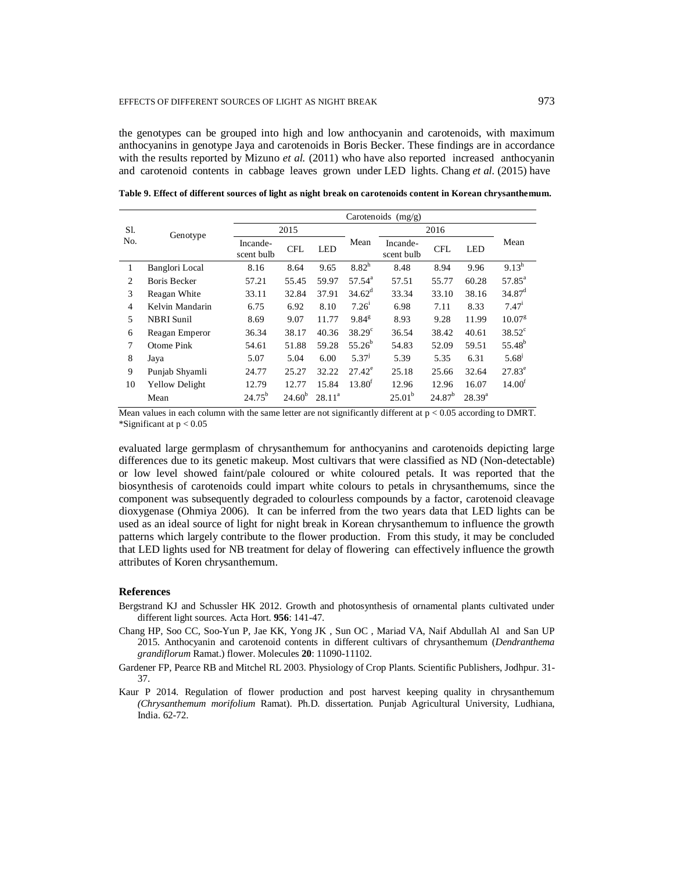the genotypes can be grouped into high and low anthocyanin and carotenoids, with maximum anthocyanins in genotype Jaya and carotenoids in Boris Becker. These findings are in accordance with the results reported by Mizuno *et al.* (2011) who have also reported increased anthocyanin and carotenoid contents in cabbage leaves grown under LED lights. Chang *et al.* (2015) have

|                | Genotype              | Carotenoids $(mg/g)$   |             |            |                    |                        |             |             |                    |  |  |
|----------------|-----------------------|------------------------|-------------|------------|--------------------|------------------------|-------------|-------------|--------------------|--|--|
| Sl.            |                       |                        | 2015        |            |                    |                        | 2016        |             |                    |  |  |
| No.            |                       | Incande-<br>scent bulb | <b>CFL</b>  | <b>LED</b> | Mean               | Incande-<br>scent bulb | <b>CFL</b>  | <b>LED</b>  | Mean               |  |  |
| 1              | Banglori Local        | 8.16                   | 8.64        | 9.65       | $8.82^h$           | 8.48                   | 8.94        | 9.96        | $9.13^h$           |  |  |
| $\overline{c}$ | <b>Boris Becker</b>   | 57.21                  | 55.45       | 59.97      | $57.54^{\rm a}$    | 57.51                  | 55.77       | 60.28       | $57.85^{\circ}$    |  |  |
| 3              | Reagan White          | 33.11                  | 32.84       | 37.91      | $34.62^{\rm d}$    | 33.34                  | 33.10       | 38.16       | $34.87^{\rm d}$    |  |  |
| $\overline{4}$ | Kelvin Mandarin       | 6.75                   | 6.92        | 8.10       | 7.26 <sup>1</sup>  | 6.98                   | 7.11        | 8.33        | 7.47 <sup>i</sup>  |  |  |
| 5              | <b>NBRI</b> Sunil     | 8.69                   | 9.07        | 11.77      | $9.84^8$           | 8.93                   | 9.28        | 11.99       | $10.07^{8}$        |  |  |
| 6              | Reagan Emperor        | 36.34                  | 38.17       | 40.36      | $38.29^{\circ}$    | 36.54                  | 38.42       | 40.61       | $38.52^{\circ}$    |  |  |
| 7              | Otome Pink            | 54.61                  | 51.88       | 59.28      | $55.26^{b}$        | 54.83                  | 52.09       | 59.51       | 55.48 <sup>b</sup> |  |  |
| 8              | Jaya                  | 5.07                   | 5.04        | 6.00       | 5.37 <sup>j</sup>  | 5.39                   | 5.35        | 6.31        | $5.68^{j}$         |  |  |
| 9              | Punjab Shyamli        | 24.77                  | 25.27       | 32.22      | $27.42^e$          | 25.18                  | 25.66       | 32.64       | $27.83^{\circ}$    |  |  |
| 10             | <b>Yellow Delight</b> | 12.79                  | 12.77       | 15.84      | 13.80 <sup>t</sup> | 12.96                  | 12.96       | 16.07       | 14.00 <sup>t</sup> |  |  |
|                | Mean                  | $24.75^{b}$            | $24.60^{b}$ | $28.11^a$  |                    | $25.01^b$              | $24.87^{b}$ | $28.39^{a}$ |                    |  |  |

**Table 9. Effect of different sources of light as night break on carotenoids content in Korean chrysanthemum.**

Mean values in each column with the same letter are not significantly different at  $p < 0.05$  according to DMRT. \*Significant at p < 0.05

evaluated large germplasm of chrysanthemum for anthocyanins and carotenoids depicting large differences due to its genetic makeup. Most cultivars that were classified as ND (Non-detectable) or low level showed faint/pale coloured or white coloured petals. It was reported that the biosynthesis of carotenoids could impart white colours to petals in chrysanthemums, since the component was subsequently degraded to colourless compounds by a factor, carotenoid cleavage dioxygenase (Ohmiya 2006). It can be inferred from the two years data that LED lights can be used as an ideal source of light for night break in Korean chrysanthemum to influence the growth patterns which largely contribute to the flower production. From this study, it may be concluded that LED lights used for NB treatment for delay of flowering can effectively influence the growth attributes of Koren chrysanthemum.

#### **References**

- Bergstrand KJ and Schussler HK 2012. Growth and photosynthesis of ornamental plants cultivated under different light sources. Acta Hort. **956**: 141-47.
- Chang HP, Soo CC, Soo-Yun P, Jae KK, Yong JK , Sun OC , Mariad VA, Naif Abdullah Al and San UP 2015. Anthocyanin and carotenoid contents in different cultivars of chrysanthemum (*Dendranthema grandiflorum* Ramat.) flower. Molecules **20**: 11090-11102.
- Gardener FP, Pearce RB and Mitchel RL 2003. Physiology of Crop Plants. Scientific Publishers, Jodhpur. 31- 37.
- Kaur P 2014. Regulation of flower production and post harvest keeping quality in chrysanthemum *(Chrysanthemum morifolium* Ramat). Ph.D. dissertation. Punjab Agricultural University, Ludhiana, India. 62-72.